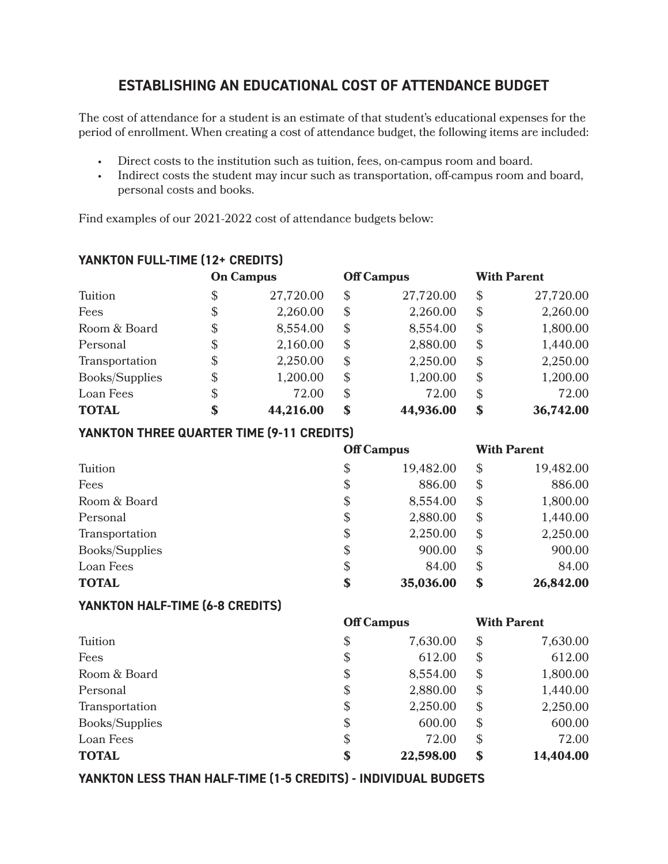# **ESTABLISHING AN EDUCATIONAL COST OF ATTENDANCE BUDGET**

The cost of attendance for a student is an estimate of that student's educational expenses for the period of enrollment. When creating a cost of attendance budget, the following items are included:

- Direct costs to the institution such as tuition, fees, on-campus room and board.
- Indirect costs the student may incur such as transportation, off-campus room and board, personal costs and books.

Find examples of our 2021-2022 cost of attendance budgets below:

## **YANKTON FULL-TIME (12+ CREDITS)**

|                       |               | <b>On Campus</b> |                            | <b>Off Campus</b> |                            | <b>With Parent</b> |
|-----------------------|---------------|------------------|----------------------------|-------------------|----------------------------|--------------------|
| Tuition               | \$            | 27,720.00        | \$                         | 27,720.00         | $\mathcal{S}$              | 27,720.00          |
| Fees                  | $\$\$         | 2,260.00         | $\boldsymbol{\mathcal{S}}$ | 2,260.00          | $\boldsymbol{\mathcal{S}}$ | 2,260.00           |
| Room & Board          | \$            | 8,554.00         | $\mathcal{S}$              | 8,554.00          | $\boldsymbol{\mathcal{S}}$ | 1,800.00           |
| Personal              | $\$\$         | 2,160.00         | $\boldsymbol{\mathcal{S}}$ | 2,880.00          | $\boldsymbol{\mathcal{S}}$ | 1,440.00           |
| Transportation        | $\mathcal{S}$ | 2,250.00         | $\mathcal{S}$              | 2,250.00          | $\boldsymbol{\mathcal{S}}$ | 2,250.00           |
| <b>Books/Supplies</b> | $\$\$         | 1,200.00         | $\mathcal{S}$              | 1,200.00          | $\boldsymbol{\mathcal{S}}$ | 1,200.00           |
| Loan Fees             | \$            | 72.00            | $\mathcal{S}$              | 72.00             | $\boldsymbol{\mathcal{S}}$ | 72.00              |
| <b>TOTAL</b>          | \$            | 44,216.00        | \$                         | 44,936.00         | $\boldsymbol{\mathsf{s}}$  | 36,742.00          |

### **YANKTON THREE QUARTER TIME (9-11 CREDITS)**

|                |                            | <b>Off Campus</b> |                            | <b>With Parent</b> |
|----------------|----------------------------|-------------------|----------------------------|--------------------|
| Tuition        | \$                         | 19,482.00         | $\mathcal{S}$              | 19,482.00          |
| Fees           | $\mathcal{E}$              | 886.00            | $\mathcal{S}$              | 886.00             |
| Room & Board   | $\boldsymbol{\mathsf{S}}$  | 8,554.00          | $\boldsymbol{\mathcal{S}}$ | 1,800.00           |
| Personal       | $\mathcal{E}$              | 2,880.00          | $\boldsymbol{\mathcal{S}}$ | 1,440.00           |
| Transportation | $\boldsymbol{\mathcal{S}}$ | 2,250.00          | $\boldsymbol{\mathcal{S}}$ | 2,250.00           |
| Books/Supplies | $\boldsymbol{\mathsf{S}}$  | 900.00            | $\boldsymbol{\mathcal{S}}$ | 900.00             |
| Loan Fees      | $\mathcal{E}$              | 84.00             | $\boldsymbol{\mathcal{S}}$ | 84.00              |
| <b>TOTAL</b>   | \$                         | 35,036.00         | $\boldsymbol{\mathsf{s}}$  | 26,842.00          |

### **YANKTON HALF-TIME (6-8 CREDITS)**

|                |                            | <b>Off Campus</b> |               | <b>With Parent</b> |
|----------------|----------------------------|-------------------|---------------|--------------------|
| Tuition        | $\boldsymbol{\mathcal{S}}$ | 7,630.00          | $\mathcal{S}$ | 7,630.00           |
| Fees           | $\boldsymbol{\mathsf{S}}$  | 612.00            | $\mathcal{S}$ | 612.00             |
| Room & Board   | $\boldsymbol{\mathcal{S}}$ | 8,554.00          | $\mathcal{S}$ | 1,800.00           |
| Personal       | \$                         | 2,880.00          | $\mathbb{S}$  | 1,440.00           |
| Transportation | $\boldsymbol{\mathsf{S}}$  | 2,250.00          | $\mathcal{S}$ | 2,250.00           |
| Books/Supplies | $\boldsymbol{\mathcal{S}}$ | 600.00            | $\mathcal{S}$ | 600.00             |
| Loan Fees      | \$                         | 72.00             | $\mathcal{S}$ | 72.00              |
| <b>TOTAL</b>   | \$                         | 22,598.00         | \$            | 14,404.00          |

**YANKTON LESS THAN HALF-TIME (1-5 CREDITS) - INDIVIDUAL BUDGETS**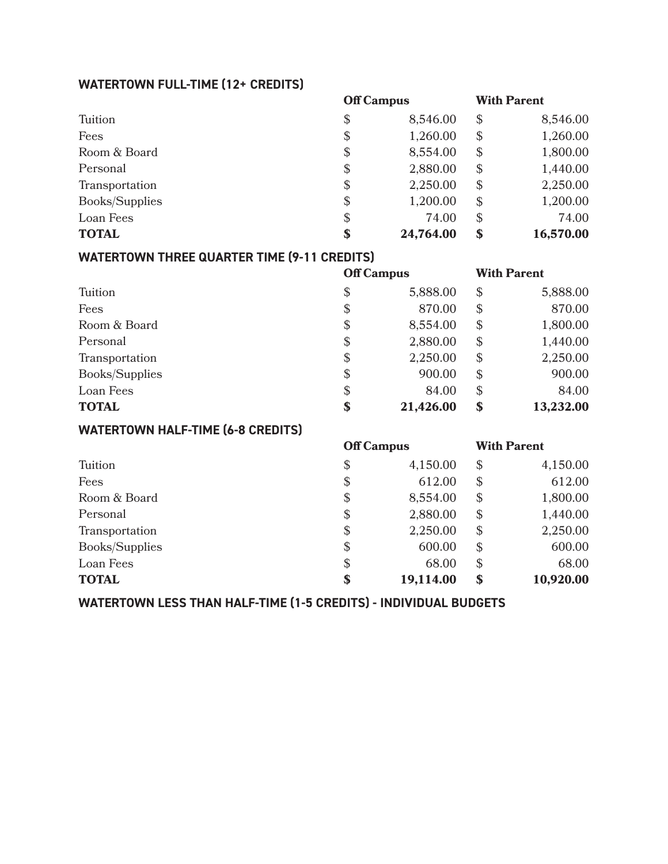### **WATERTOWN FULL-TIME (12+ CREDITS)**

|                | <b>Off Campus</b> |           |                            | <b>With Parent</b> |  |
|----------------|-------------------|-----------|----------------------------|--------------------|--|
| Tuition        | \$                | 8,546.00  | $\boldsymbol{\mathcal{S}}$ | 8,546.00           |  |
| Fees           | \$                | 1,260.00  | $\boldsymbol{\mathcal{S}}$ | 1,260.00           |  |
| Room & Board   | \$                | 8,554.00  | $\mathcal{S}$              | 1,800.00           |  |
| Personal       | $\$\$             | 2,880.00  | $\mathcal{S}$              | 1,440.00           |  |
| Transportation | \$                | 2,250.00  | $\mathcal{S}$              | 2,250.00           |  |
| Books/Supplies | \$                | 1,200.00  | $\mathcal{S}$              | 1,200.00           |  |
| Loan Fees      | \$                | 74.00     | $\mathcal{S}$              | 74.00              |  |
| <b>TOTAL</b>   | \$                | 24,764.00 | \$                         | 16,570.00          |  |

### **WATERTOWN THREE QUARTER TIME (9-11 CREDITS)**

|                |       | <b>Off Campus</b> |                            | <b>With Parent</b> |
|----------------|-------|-------------------|----------------------------|--------------------|
| Tuition        | \$    | 5,888.00          | $\mathcal{S}$              | 5,888.00           |
| Fees           | \$    | 870.00            | $\mathcal{S}$              | 870.00             |
| Room & Board   | \$    | 8,554.00          | $\mathcal{S}$              | 1,800.00           |
| Personal       | \$    | 2,880.00          | $\boldsymbol{\mathcal{S}}$ | 1,440.00           |
| Transportation | \$    | 2,250.00          | $\mathcal{S}$              | 2,250.00           |
| Books/Supplies | $\$\$ | 900.00            | $\mathcal{S}$              | 900.00             |
| Loan Fees      | \$    | 84.00             | $\boldsymbol{\mathcal{S}}$ | 84.00              |
| <b>TOTAL</b>   | \$    | 21,426.00         | $\boldsymbol{\mathsf{S}}$  | 13,232.00          |

### **WATERTOWN HALF-TIME (6-8 CREDITS)**

|                | <b>Off Campus</b> |           |                            | <b>With Parent</b> |  |
|----------------|-------------------|-----------|----------------------------|--------------------|--|
| Tuition        | \$                | 4,150.00  | $\boldsymbol{\mathcal{S}}$ | 4,150.00           |  |
| Fees           | \$                | 612.00    | $\boldsymbol{\mathcal{S}}$ | 612.00             |  |
| Room & Board   | \$                | 8,554.00  | $\frac{1}{2}$              | 1,800.00           |  |
| Personal       | \$                | 2,880.00  | $\mathcal{S}$              | 1,440.00           |  |
| Transportation | \$                | 2,250.00  | $\mathcal{S}$              | 2,250.00           |  |
| Books/Supplies | \$                | 600.00    | $\mathcal{S}$              | 600.00             |  |
| Loan Fees      | \$                | 68.00     | $\mathcal{S}$              | 68.00              |  |
| <b>TOTAL</b>   | \$                | 19,114.00 | $\mathbf{\$}$              | 10,920.00          |  |

**WATERTOWN LESS THAN HALF-TIME (1-5 CREDITS) - INDIVIDUAL BUDGETS**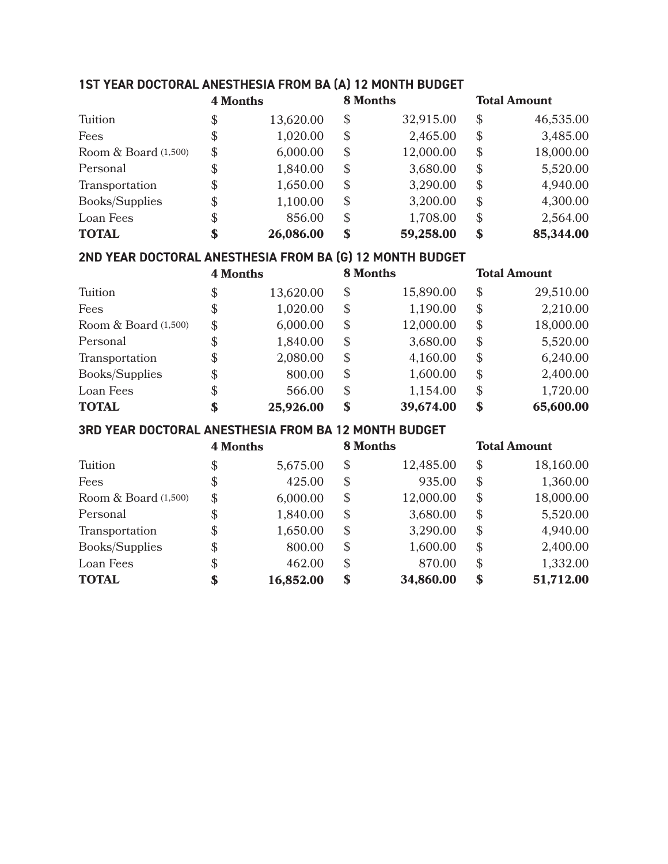## **1ST YEAR DOCTORAL ANESTHESIA FROM BA (A) 12 MONTH BUDGET**

|                       | <b>4 Months</b> |           | <b>8 Months</b>            |           | <b>Total Amount</b> |           |
|-----------------------|-----------------|-----------|----------------------------|-----------|---------------------|-----------|
| Tuition               | \$              | 13,620.00 | S                          | 32,915.00 | $\mathcal{S}$       | 46,535.00 |
| Fees                  | \$              | 1,020.00  | $\boldsymbol{\mathcal{S}}$ | 2,465.00  | $\mathcal{S}$       | 3,485.00  |
| Room $& Board(1,500)$ | \$              | 6,000.00  | \$                         | 12,000.00 | $\mathcal{S}$       | 18,000.00 |
| Personal              | \$              | 1,840.00  | \$                         | 3,680.00  | $\mathcal{S}$       | 5,520.00  |
| Transportation        | \$              | 1,650.00  | $\mathbb{S}$               | 3,290.00  | $\mathcal{S}$       | 4,940.00  |
| Books/Supplies        | \$              | 1,100.00  | $\boldsymbol{\mathsf{S}}$  | 3,200.00  | $\mathcal{S}$       | 4,300.00  |
| Loan Fees             | \$              | 856.00    | $\mathbb{S}$               | 1,708.00  | $\mathcal{S}$       | 2,564.00  |
| <b>TOTAL</b>          | \$              | 26,086.00 | \$                         | 59,258.00 | \$                  | 85,344.00 |

### **2ND YEAR DOCTORAL ANESTHESIA FROM BA (G) 12 MONTH BUDGET**

|                      | <b>4 Months</b>           |           | <b>8 Months</b> |           | <b>Total Amount</b>        |           |
|----------------------|---------------------------|-----------|-----------------|-----------|----------------------------|-----------|
| Tuition              | \$                        | 13,620.00 | \$              | 15,890.00 | $\boldsymbol{\mathcal{S}}$ | 29,510.00 |
| Fees                 | \$                        | 1,020.00  | \$              | 1,190.00  | $\boldsymbol{\mathcal{S}}$ | 2,210.00  |
| Room & Board (1,500) | \$                        | 6,000.00  | \$              | 12,000.00 | $\boldsymbol{\mathcal{S}}$ | 18,000.00 |
| Personal             | \$                        | 1,840.00  | $\$\$           | 3,680.00  | $\boldsymbol{\mathcal{S}}$ | 5,520.00  |
| Transportation       | $\boldsymbol{\mathsf{S}}$ | 2,080.00  | \$              | 4,160.00  | $\mathcal{S}$              | 6,240.00  |
| Books/Supplies       | $\boldsymbol{\mathsf{S}}$ | 800.00    | \$              | 1,600.00  | $\mathcal{S}$              | 2,400.00  |
| Loan Fees            | \$                        | 566.00    | \$              | 1,154.00  | $\mathcal{S}$              | 1,720.00  |
| <b>TOTAL</b>         | \$                        | 25,926.00 | \$              | 39,674.00 | $\mathbf s$                | 65,600.00 |

#### **3RD YEAR DOCTORAL ANESTHESIA FROM BA 12 MONTH BUDGET**

|                      | <b>4 Months</b>            |           |                            | <b>8 Months</b> |                            | <b>Total Amount</b> |  |
|----------------------|----------------------------|-----------|----------------------------|-----------------|----------------------------|---------------------|--|
| Tuition              | \$                         | 5,675.00  | $\boldsymbol{\mathcal{S}}$ | 12,485.00       | $\mathcal{S}$              | 18,160.00           |  |
| Fees                 | \$                         | 425.00    | \$                         | 935.00          | $\frac{1}{2}$              | 1,360.00            |  |
| Room & Board (1,500) | $\boldsymbol{\mathcal{S}}$ | 6,000.00  | $\boldsymbol{\mathcal{S}}$ | 12,000.00       | $\$\$                      | 18,000.00           |  |
| Personal             | \$                         | 1,840.00  | $\boldsymbol{\mathcal{S}}$ | 3,680.00        | $\mathcal{S}$              | 5,520.00            |  |
| Transportation       | $\$\$                      | 1,650.00  | $\mathbb{S}$               | 3,290.00        | $\mathcal{S}$              | 4,940.00            |  |
| Books/Supplies       | \$                         | 800.00    | $\mathbb{S}$               | 1,600.00        | $\boldsymbol{\mathcal{S}}$ | 2,400.00            |  |
| Loan Fees            | \$                         | 462.00    | $\mathbb{S}$               | 870.00          | $\mathcal{S}$              | 1,332.00            |  |
| <b>TOTAL</b>         | \$                         | 16,852.00 | $\mathbf{s}$               | 34,860.00       | $\mathbf{\$}$              | 51,712.00           |  |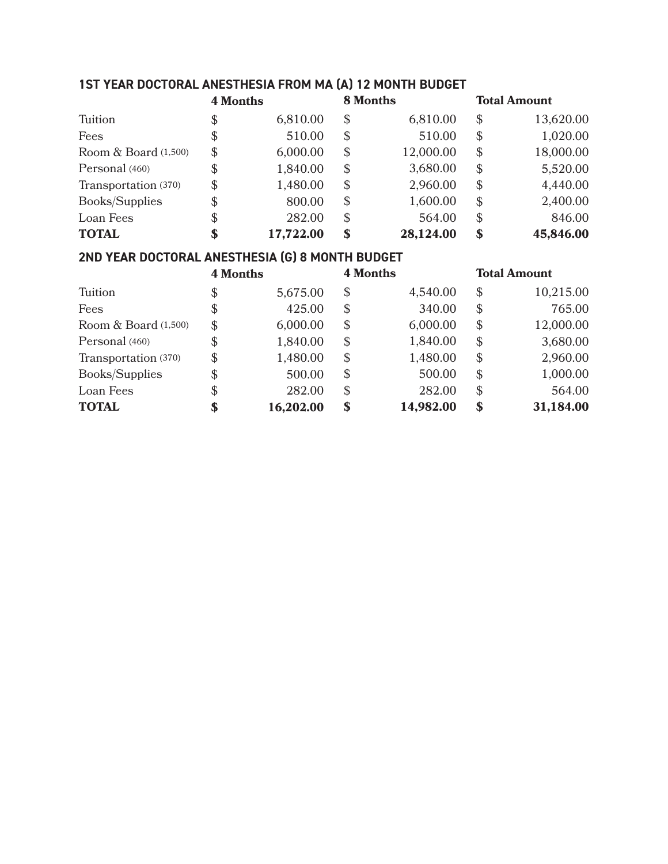### **1ST YEAR DOCTORAL ANESTHESIA FROM MA (A) 12 MONTH BUDGET**

|                       | <b>4 Months</b>            |           | <b>8 Months</b>           |           | <b>Total Amount</b>        |           |
|-----------------------|----------------------------|-----------|---------------------------|-----------|----------------------------|-----------|
| Tuition               | \$                         | 6,810.00  | $\boldsymbol{\mathsf{S}}$ | 6,810.00  | $\boldsymbol{\mathcal{S}}$ | 13,620.00 |
| Fees                  | \$                         | 510.00    | S                         | 510.00    | $\boldsymbol{\mathcal{S}}$ | 1,020.00  |
| Room $& Board(1,500)$ | $\boldsymbol{\mathcal{S}}$ | 6,000.00  | \$                        | 12,000.00 | $\boldsymbol{\mathcal{S}}$ | 18,000.00 |
| Personal (460)        | $\boldsymbol{\mathsf{S}}$  | 1,840.00  | $\boldsymbol{\mathsf{S}}$ | 3,680.00  | $\boldsymbol{\mathcal{S}}$ | 5,520.00  |
| Transportation (370)  | $\boldsymbol{\mathcal{S}}$ | 1,480.00  | $\boldsymbol{\mathsf{S}}$ | 2,960.00  | $\mathcal{S}$              | 4,440.00  |
| Books/Supplies        | $\boldsymbol{\mathsf{S}}$  | 800.00    | $\mathbb{S}$              | 1,600.00  | $\boldsymbol{\mathcal{S}}$ | 2,400.00  |
| Loan Fees             | \$                         | 282.00    | $\mathbb{S}$              | 564.00    | $\boldsymbol{\mathcal{S}}$ | 846.00    |
| <b>TOTAL</b>          | \$                         | 17,722.00 | \$                        | 28,124.00 | \$                         | 45,846.00 |

### **2ND YEAR DOCTORAL ANESTHESIA (G) 8 MONTH BUDGET**

|                       | <b>4 Months</b>            |           | <b>4 Months</b>            |           | <b>Total Amount</b> |           |
|-----------------------|----------------------------|-----------|----------------------------|-----------|---------------------|-----------|
| Tuition               | \$                         | 5,675.00  | S                          | 4,540.00  | $\mathcal{S}$       | 10,215.00 |
| Fees                  | \$                         | 425.00    | S                          | 340.00    | $\mathcal{S}$       | 765.00    |
| Room & Board (1,500)  | $\boldsymbol{\mathcal{S}}$ | 6,000.00  | $\boldsymbol{\mathcal{S}}$ | 6,000.00  | $\mathcal{S}$       | 12,000.00 |
| Personal (460)        | \$                         | 1,840.00  | $\mathbb{S}$               | 1,840.00  | $\mathcal{S}$       | 3,680.00  |
| Transportation (370)  | $\mathcal{L}$              | 1,480.00  | $\mathbb{S}$               | 1,480.00  | $\mathcal{S}$       | 2,960.00  |
| <b>Books/Supplies</b> | \$                         | 500.00    | $\mathbb{S}$               | 500.00    | $\mathcal{S}$       | 1,000.00  |
| Loan Fees             | \$                         | 282.00    | $\boldsymbol{\mathsf{S}}$  | 282.00    | $\mathcal{S}$       | 564.00    |
| <b>TOTAL</b>          | \$                         | 16,202.00 | \$                         | 14,982.00 | $\mathbf{\$}$       | 31,184.00 |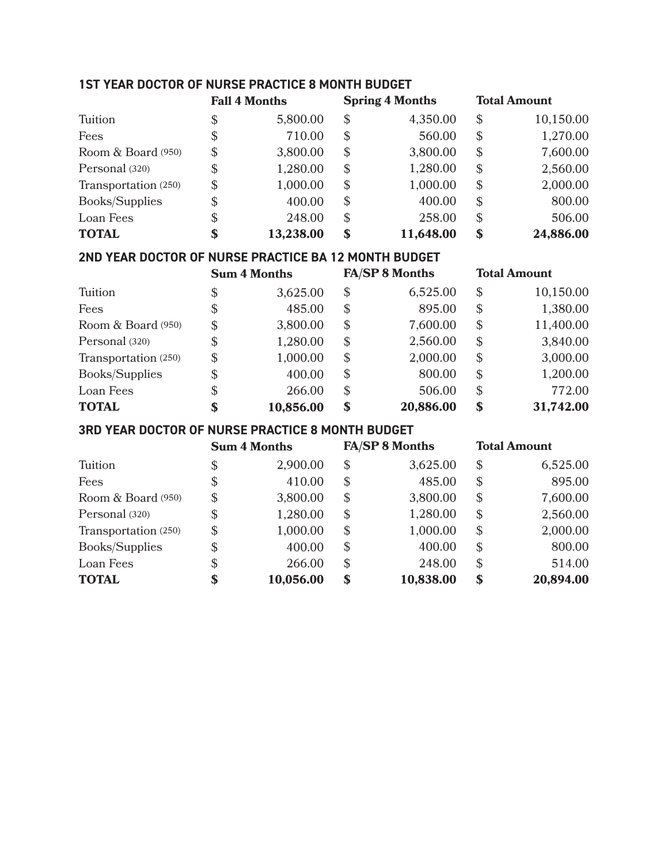### **1ST YEAR DOCTOR OF NURSE PRACTICE 8 MONTH BUDGET**

|                      |                           | <b>Fall 4 Months</b> | <b>Spring 4 Months</b>    |           | <b>Total Amount</b> |           |
|----------------------|---------------------------|----------------------|---------------------------|-----------|---------------------|-----------|
| Tuition              | \$                        | 5,800.00             | S                         | 4,350.00  | $\mathcal{S}$       | 10,150.00 |
| Fees                 | \$                        | 710.00               | \$                        | 560.00    | $\mathcal{S}$       | 1,270.00  |
| Room & Board (950)   | $\boldsymbol{\mathsf{S}}$ | 3,800.00             | \$                        | 3,800.00  | $\mathcal{S}$       | 7,600.00  |
| Personal (320)       | \$                        | 1,280.00             | $\boldsymbol{\mathsf{S}}$ | 1,280.00  | $\mathcal{S}$       | 2,560.00  |
| Transportation (250) | $\mathcal{S}$             | 1,000.00             | S                         | 1,000.00  | $\mathcal{S}$       | 2,000.00  |
| Books/Supplies       | \$                        | 400.00               | \$                        | 400.00    | $\mathcal{S}$       | 800.00    |
| Loan Fees            | \$                        | 248.00               | $\mathbb{S}$              | 258.00    | $\mathcal{S}$       | 506.00    |
| <b>TOTAL</b>         | \$                        | 13,238.00            | \$                        | 11,648.00 | \$                  | 24,886.00 |

#### **2ND YEAR DOCTOR OF NURSE PRACTICE BA 12 MONTH BUDGET**

|                       |                           | <b>Sum 4 Months</b> | <b>FA/SP 8 Months</b>      |           |               | <b>Total Amount</b> |  |
|-----------------------|---------------------------|---------------------|----------------------------|-----------|---------------|---------------------|--|
| Tuition               | \$                        | 3,625.00            | $\boldsymbol{\mathcal{S}}$ | 6,525.00  | $\mathcal{S}$ | 10,150.00           |  |
| Fees                  | \$                        | 485.00              | S                          | 895.00    | $\mathcal{S}$ | 1,380.00            |  |
| Room & Board (950)    | $\mathcal{S}$             | 3,800.00            | $\mathcal{S}$              | 7,600.00  | $\mathcal{S}$ | 11,400.00           |  |
| Personal (320)        | $\boldsymbol{\mathsf{S}}$ | 1,280.00            | $\mathbb{S}$               | 2,560.00  | $\mathcal{S}$ | 3,840.00            |  |
| Transportation (250)  | $\mathbb{S}$              | 1,000.00            | \$                         | 2,000.00  | $\mathcal{S}$ | 3,000.00            |  |
| <b>Books/Supplies</b> | $\$\$                     | 400.00              | S                          | 800.00    | $\mathcal{S}$ | 1,200.00            |  |
| Loan Fees             | \$                        | 266.00              | S                          | 506.00    | $\mathcal{S}$ | 772.00              |  |
| <b>TOTAL</b>          | \$                        | 10,856.00           | \$                         | 20,886.00 | $\mathbf{s}$  | 31,742.00           |  |

#### **3RD YEAR DOCTOR OF NURSE PRACTICE 8 MONTH BUDGET**

|                      |                           | <b>Sum 4 Months</b> | <b>FA/SP 8 Months</b>     |           |                            | <b>Total Amount</b> |  |
|----------------------|---------------------------|---------------------|---------------------------|-----------|----------------------------|---------------------|--|
| Tuition              | \$                        | 2,900.00            | $\boldsymbol{\mathsf{S}}$ | 3,625.00  | \$                         | 6,525.00            |  |
| Fees                 | \$                        | 410.00              | \$                        | 485.00    | $\boldsymbol{\mathcal{S}}$ | 895.00              |  |
| Room & Board (950)   | \$                        | 3,800.00            | \$                        | 3,800.00  | $\mathcal{S}$              | 7,600.00            |  |
| Personal (320)       | $\boldsymbol{\mathsf{S}}$ | 1,280.00            | \$                        | 1,280.00  | $\mathcal{S}$              | 2,560.00            |  |
| Transportation (250) | $\boldsymbol{\mathsf{S}}$ | 1,000.00            | $\boldsymbol{\mathsf{S}}$ | 1,000.00  | $\boldsymbol{\mathcal{S}}$ | 2,000.00            |  |
| Books/Supplies       | \$                        | 400.00              | $\boldsymbol{\mathsf{S}}$ | 400.00    | $\mathcal{S}$              | 800.00              |  |
| Loan Fees            | \$                        | 266.00              | $\mathbb{S}$              | 248.00    | $\mathcal{S}$              | 514.00              |  |
| <b>TOTAL</b>         | \$                        | 10,056.00           | \$                        | 10,838.00 | $\mathbf s$                | 20,894.00           |  |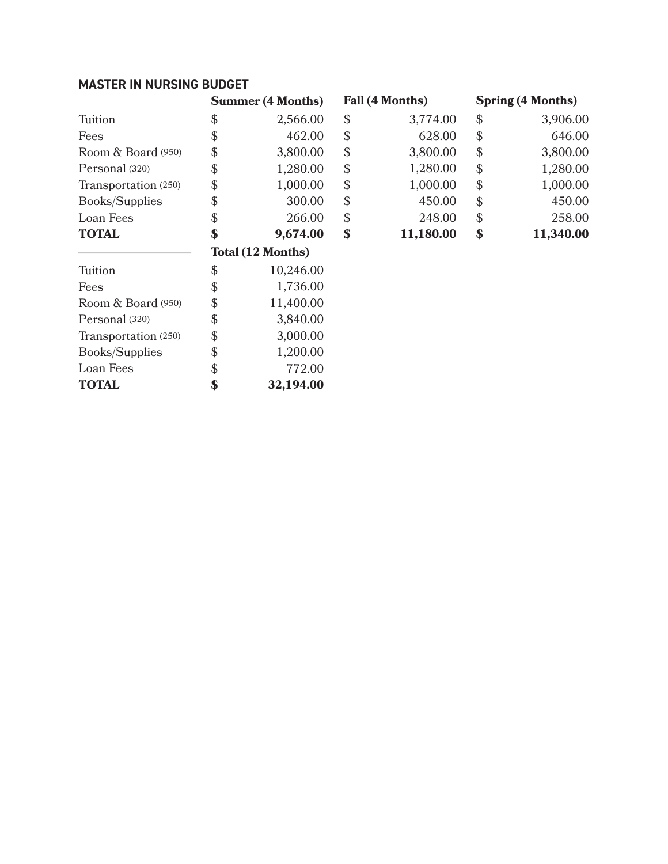### **MASTER IN NURSING BUDGET**

Personal (320) Transportation (250) Books/Supplies Loan Fees **TOTAL**

|                       | <b>Summer (4 Months)</b> | Fall (4 Months) |                            | <b>Spring (4 Months)</b> |  |
|-----------------------|--------------------------|-----------------|----------------------------|--------------------------|--|
| Tuition               | \$<br>2,566.00           | \$<br>3,774.00  | $\boldsymbol{\mathcal{S}}$ | 3,906.00                 |  |
| Fees                  | \$<br>462.00             | \$<br>628.00    | $\boldsymbol{\mathcal{S}}$ | 646.00                   |  |
| Room & Board (950)    | \$<br>3,800.00           | \$<br>3,800.00  | $\boldsymbol{\mathcal{S}}$ | 3,800.00                 |  |
| Personal (320)        | \$<br>1,280.00           | \$<br>1,280.00  | $\boldsymbol{\mathcal{S}}$ | 1,280.00                 |  |
| Transportation (250)  | \$<br>1,000.00           | \$<br>1,000.00  | $\boldsymbol{\mathcal{S}}$ | 1,000.00                 |  |
| <b>Books/Supplies</b> | \$<br>300.00             | \$<br>450.00    | $\boldsymbol{\mathcal{S}}$ | 450.00                   |  |
| Loan Fees             | \$<br>266.00             | \$<br>248.00    | $\boldsymbol{\mathcal{S}}$ | 258.00                   |  |
| <b>TOTAL</b>          | \$<br>9,674.00           | \$<br>11,180.00 | \$                         | 11,340.00                |  |
|                       | Total (12 Months)        |                 |                            |                          |  |
| Tuition               | \$<br>10,246.00          |                 |                            |                          |  |
| Fees                  | \$<br>1,736.00           |                 |                            |                          |  |
| Room & Board (950)    | \$<br>11,400.00          |                 |                            |                          |  |
| Personal (320)        | \$<br>3,840.00           |                 |                            |                          |  |

3,000.00 1,200.00 772.00 **32,194.00**

 $\mathbb S$ \$ \$ **\$**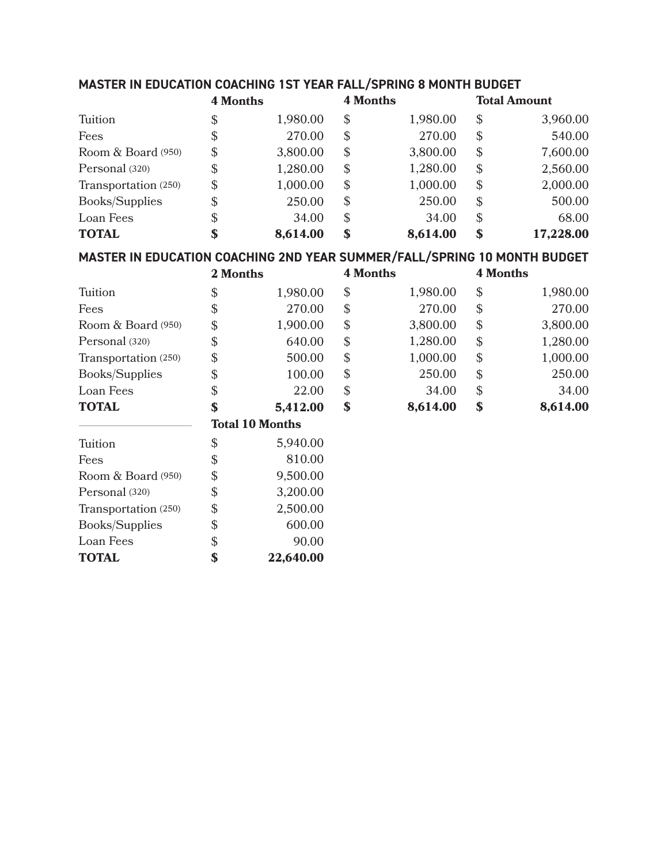|  | MASTER IN EDUCATION COACHING 1ST YEAR FALL/SPRING 8 MONTH BUDGET |
|--|------------------------------------------------------------------|
|--|------------------------------------------------------------------|

|                                                                          | <b>4 Months</b> |                        | <b>4 Months</b> |          | <b>Total Amount</b>        |           |
|--------------------------------------------------------------------------|-----------------|------------------------|-----------------|----------|----------------------------|-----------|
| Tuition                                                                  | \$              | 1,980.00               | \$              | 1,980.00 | \$                         | 3,960.00  |
| Fees                                                                     | \$              | 270.00                 | \$              | 270.00   | \$                         | 540.00    |
| Room & Board (950)                                                       | \$              | 3,800.00               | \$              | 3,800.00 | \$                         | 7,600.00  |
| Personal (320)                                                           | \$              | 1,280.00               | \$              | 1,280.00 | \$                         | 2,560.00  |
| Transportation (250)                                                     | \$              | 1,000.00               | \$              | 1,000.00 | \$                         | 2,000.00  |
| <b>Books/Supplies</b>                                                    | \$              | 250.00                 | \$              | 250.00   | \$                         | 500.00    |
| Loan Fees                                                                | \$              | 34.00                  | \$              | 34.00    | $\$\$                      | 68.00     |
| <b>TOTAL</b>                                                             | \$              | 8,614.00               | \$              | 8,614.00 | \$                         | 17,228.00 |
| MASTER IN EDUCATION COACHING 2ND YEAR SUMMER/FALL/SPRING 10 MONTH BUDGET |                 |                        |                 |          |                            |           |
|                                                                          | 2 Months        |                        | <b>4 Months</b> |          | <b>4 Months</b>            |           |
| Tuition                                                                  | \$              | 1,980.00               | \$              | 1,980.00 | \$                         | 1,980.00  |
| Fees                                                                     | \$              | 270.00                 | \$              | 270.00   | $\boldsymbol{\mathsf{\$}}$ | 270.00    |
| Room & Board (950)                                                       | \$              | 1,900.00               | \$              | 3,800.00 | \$                         | 3,800.00  |
| Personal (320)                                                           | \$              | 640.00                 | \$              | 1,280.00 | \$                         | 1,280.00  |
| Transportation (250)                                                     | \$              | 500.00                 | \$              | 1,000.00 | \$                         | 1,000.00  |
| Books/Supplies                                                           | \$              | 100.00                 | \$              | 250.00   | \$                         | 250.00    |
| Loan Fees                                                                | \$              | 22.00                  | \$              | 34.00    | $\mathsf{\$}$              | 34.00     |
| <b>TOTAL</b>                                                             | \$              | 5,412.00               | \$              | 8,614.00 | \$                         | 8,614.00  |
|                                                                          |                 | <b>Total 10 Months</b> |                 |          |                            |           |
| Tuition                                                                  | \$              | 5,940.00               |                 |          |                            |           |
| Fees                                                                     | \$              | 810.00                 |                 |          |                            |           |
| Room & Board (950)                                                       | \$              | 9,500.00               |                 |          |                            |           |
| Personal (320)                                                           | \$              | 3,200.00               |                 |          |                            |           |
| Transportation (250)                                                     | \$              | 2,500.00               |                 |          |                            |           |
| Books/Supplies                                                           | \$              | 600.00                 |                 |          |                            |           |
| Loan Fees                                                                | \$              | 90.00                  |                 |          |                            |           |
| <b>TOTAL</b>                                                             | \$              | 22,640.00              |                 |          |                            |           |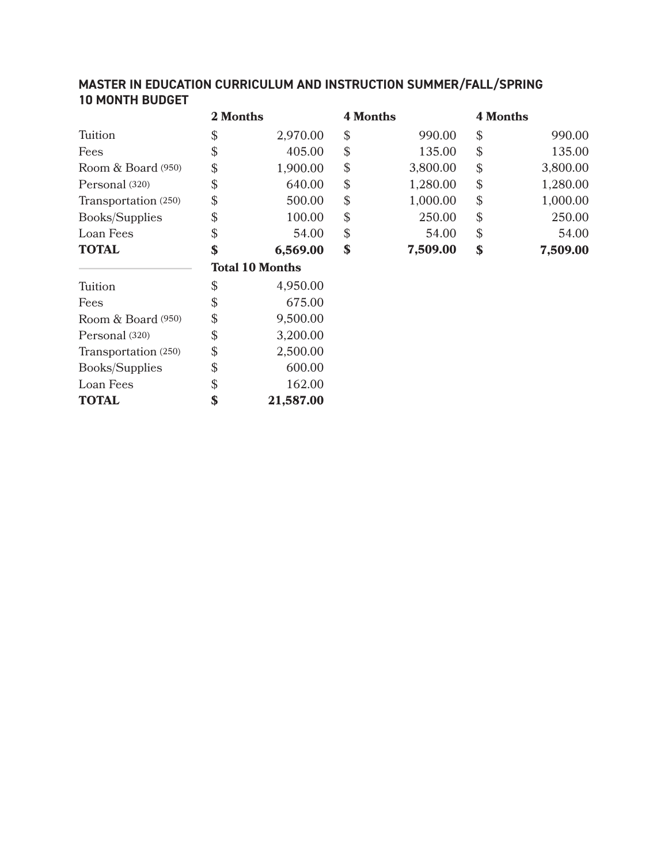### **MASTER IN EDUCATION CURRICULUM AND INSTRUCTION SUMMER/FALL/SPRING 10 MONTH BUDGET**

|                       | 2 Months                   |                        | <b>4 Months</b> |          | <b>4 Months</b> |          |
|-----------------------|----------------------------|------------------------|-----------------|----------|-----------------|----------|
| Tuition               | $\boldsymbol{\mathcal{S}}$ | 2,970.00               | $\mathbb{S}$    | 990.00   | \$              | 990.00   |
| Fees                  | $\mathcal{L}$              | 405.00                 | $\mathbb{S}$    | 135.00   | \$              | 135.00   |
| Room & Board (950)    | \$                         | 1,900.00               | $\mathcal{S}$   | 3,800.00 | \$              | 3,800.00 |
| Personal (320)        | $\mathcal{L}$              | 640.00                 | $\mathcal{S}$   | 1,280.00 | \$              | 1,280.00 |
| Transportation (250)  | \$                         | 500.00                 | $\mathcal{L}$   | 1,000.00 | \$              | 1,000.00 |
| <b>Books/Supplies</b> | $\boldsymbol{\mathcal{S}}$ | 100.00                 | $\mathbb{S}$    | 250.00   | \$              | 250.00   |
| Loan Fees             | $\boldsymbol{\mathcal{S}}$ | 54.00                  | $\mathbb{S}$    | 54.00    | \$              | 54.00    |
| <b>TOTAL</b>          | \$                         | 6,569.00               | \$              | 7,509.00 | \$              | 7,509.00 |
|                       |                            | <b>Total 10 Months</b> |                 |          |                 |          |
| Tuition               | \$                         | 4,950.00               |                 |          |                 |          |
| Fees                  | $\mathcal{L}$              | 675.00                 |                 |          |                 |          |
| Room & Board (950)    | \$                         | 9,500.00               |                 |          |                 |          |
| Personal (320)        | \$                         | 3,200.00               |                 |          |                 |          |
| Transportation (250)  | $\mathcal{L}$              | 2,500.00               |                 |          |                 |          |
| <b>Books/Supplies</b> | \$                         | 600.00                 |                 |          |                 |          |
| Loan Fees             | \$                         | 162.00                 |                 |          |                 |          |

**21,587.00 \$**

**TOTAL**